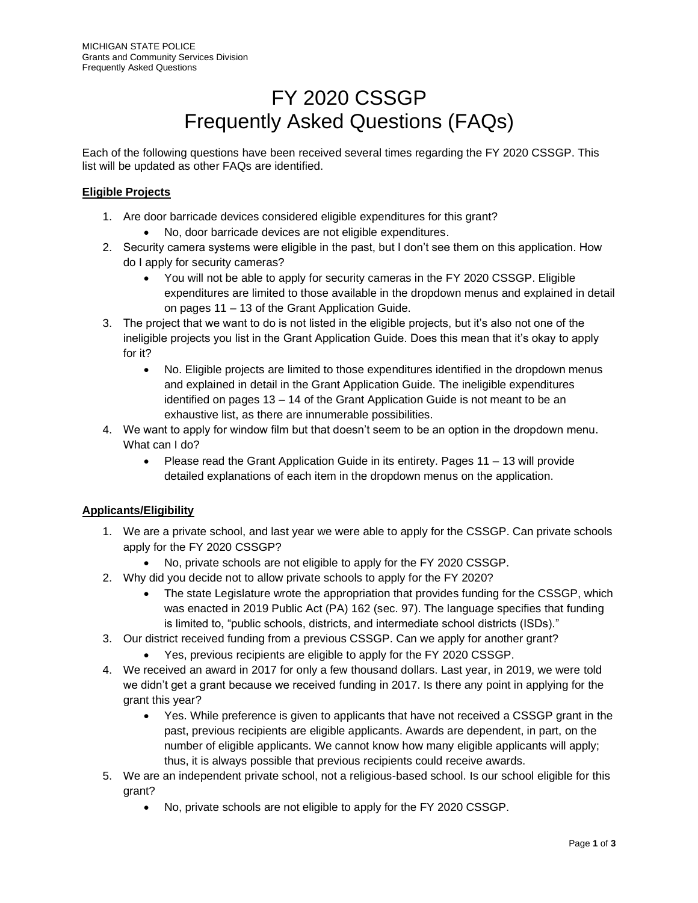# FY 2020 CSSGP Frequently Asked Questions (FAQs)

Each of the following questions have been received several times regarding the FY 2020 CSSGP. This list will be updated as other FAQs are identified.

#### **Eligible Projects**

- 1. Are door barricade devices considered eligible expenditures for this grant?
	- No, door barricade devices are not eligible expenditures.
- 2. Security camera systems were eligible in the past, but I don't see them on this application. How do I apply for security cameras?
	- You will not be able to apply for security cameras in the FY 2020 CSSGP. Eligible expenditures are limited to those available in the dropdown menus and explained in detail on pages 11 – 13 of the Grant Application Guide.
- 3. The project that we want to do is not listed in the eligible projects, but it's also not one of the ineligible projects you list in the Grant Application Guide. Does this mean that it's okay to apply for it?
	- No. Eligible projects are limited to those expenditures identified in the dropdown menus and explained in detail in the Grant Application Guide. The ineligible expenditures identified on pages 13 – 14 of the Grant Application Guide is not meant to be an exhaustive list, as there are innumerable possibilities.
- 4. We want to apply for window film but that doesn't seem to be an option in the dropdown menu. What can I do?
	- Please read the Grant Application Guide in its entirety. Pages 11 13 will provide detailed explanations of each item in the dropdown menus on the application.

## **Applicants/Eligibility**

- 1. We are a private school, and last year we were able to apply for the CSSGP. Can private schools apply for the FY 2020 CSSGP?
	- No, private schools are not eligible to apply for the FY 2020 CSSGP.
- 2. Why did you decide not to allow private schools to apply for the FY 2020?
	- The state Legislature wrote the appropriation that provides funding for the CSSGP, which was enacted in 2019 Public Act (PA) 162 (sec. 97). The language specifies that funding is limited to, "public schools, districts, and intermediate school districts (ISDs)."
- 3. Our district received funding from a previous CSSGP. Can we apply for another grant?
	- Yes, previous recipients are eligible to apply for the FY 2020 CSSGP.
- 4. We received an award in 2017 for only a few thousand dollars. Last year, in 2019, we were told we didn't get a grant because we received funding in 2017. Is there any point in applying for the grant this year?
	- Yes. While preference is given to applicants that have not received a CSSGP grant in the past, previous recipients are eligible applicants. Awards are dependent, in part, on the number of eligible applicants. We cannot know how many eligible applicants will apply; thus, it is always possible that previous recipients could receive awards.
- 5. We are an independent private school, not a religious-based school. Is our school eligible for this grant?
	- No, private schools are not eligible to apply for the FY 2020 CSSGP.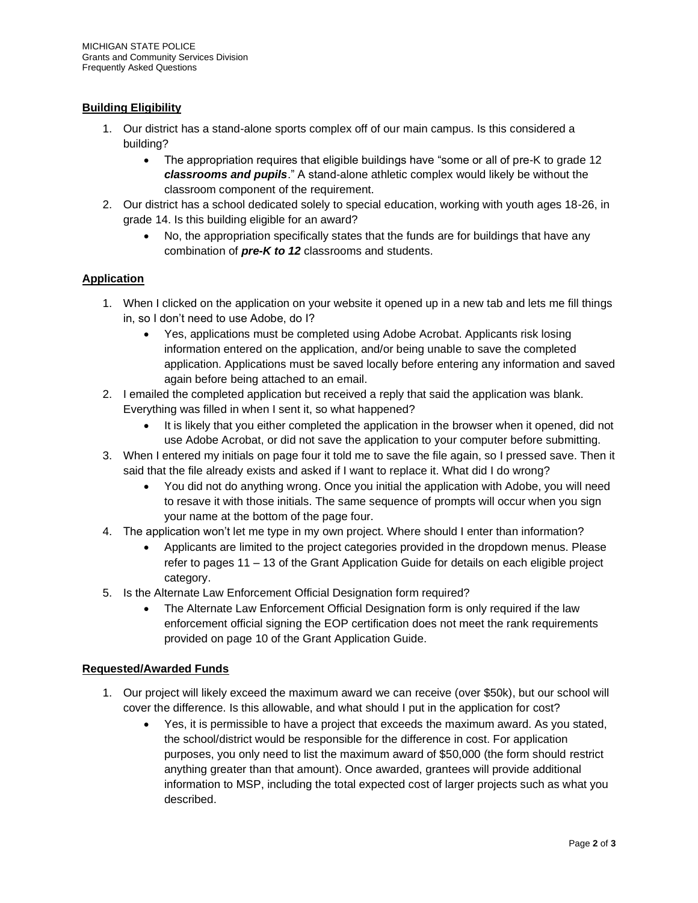## **Building Eligibility**

- 1. Our district has a stand-alone sports complex off of our main campus. Is this considered a building?
	- The appropriation requires that eligible buildings have "some or all of pre-K to grade 12 *classrooms and pupils*." A stand-alone athletic complex would likely be without the classroom component of the requirement.
- 2. Our district has a school dedicated solely to special education, working with youth ages 18-26, in grade 14. Is this building eligible for an award?
	- No, the appropriation specifically states that the funds are for buildings that have any combination of *pre-K to 12* classrooms and students.

## **Application**

- 1. When I clicked on the application on your website it opened up in a new tab and lets me fill things in, so I don't need to use Adobe, do I?
	- Yes, applications must be completed using Adobe Acrobat. Applicants risk losing information entered on the application, and/or being unable to save the completed application. Applications must be saved locally before entering any information and saved again before being attached to an email.
- 2. I emailed the completed application but received a reply that said the application was blank. Everything was filled in when I sent it, so what happened?
	- It is likely that you either completed the application in the browser when it opened, did not use Adobe Acrobat, or did not save the application to your computer before submitting.
- 3. When I entered my initials on page four it told me to save the file again, so I pressed save. Then it said that the file already exists and asked if I want to replace it. What did I do wrong?
	- You did not do anything wrong. Once you initial the application with Adobe, you will need to resave it with those initials. The same sequence of prompts will occur when you sign your name at the bottom of the page four.
- 4. The application won't let me type in my own project. Where should I enter than information?
	- Applicants are limited to the project categories provided in the dropdown menus. Please refer to pages 11 – 13 of the Grant Application Guide for details on each eligible project category.
- 5. Is the Alternate Law Enforcement Official Designation form required?
	- The Alternate Law Enforcement Official Designation form is only required if the law enforcement official signing the EOP certification does not meet the rank requirements provided on page 10 of the Grant Application Guide.

## **Requested/Awarded Funds**

- 1. Our project will likely exceed the maximum award we can receive (over \$50k), but our school will cover the difference. Is this allowable, and what should I put in the application for cost?
	- Yes, it is permissible to have a project that exceeds the maximum award. As you stated, the school/district would be responsible for the difference in cost. For application purposes, you only need to list the maximum award of \$50,000 (the form should restrict anything greater than that amount). Once awarded, grantees will provide additional information to MSP, including the total expected cost of larger projects such as what you described.